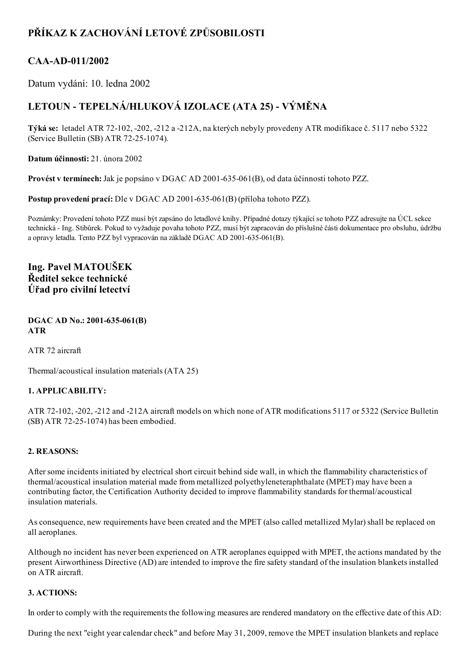# PŘÍKAZ K ZACHOVÁNÍ LETOVÉ ZPŮSOBILOSTI

### CAA-AD-011/2002

Datum vydání: 10. ledna 2002

## LETOUN - TEPELNÁ/HLUKOVÁ IZOLACE (ATA 25) - VÝMĚNA

Týká se: letadel ATR 72102, 202, 212 a 212A, na kterých nebyly provedeny ATR modifikace č. 5117 nebo 5322 (Service Bulletin (SB) ATR 72-25-1074).

Datum účinnosti: 21. února 2002

Provést v termínech: Jak je popsáno v DGAC AD 2001-635-061(B), od data účinnosti tohoto PZZ.

Postup provedení prací: Dle v DGAC AD 2001-635-061(B) (příloha tohoto PZZ).

Poznámky: Provedení tohoto PZZ musí být zapsáno do letadlové knihy. Případné dotazy týkající se tohoto PZZ adresujte na ÚCL sekce technická Ing. Stibůrek. Pokud to vyžaduje povaha tohoto PZZ, musí být zapracován do příslušné části dokumentace pro obsluhu, údržbu a opravy letadla. Tento PZZ byl vypracován na základě DGAC AD 2001-635-061(B).

### Ing. Pavel MATOUŠEK Ředitel sekce technické Úřad pro civilní letectví

#### DGAC AD No.: 2001-635-061(B) ATR

ATR 72 aircraft

Thermal/acoustical insulation materials (ATA 25)

#### 1. APPLICABILITY:

ATR 72102, 202, 212 and 212A aircraft models on which none of ATR modifications 5117 or 5322 (Service Bulletin  $(SB)$  ATR 72-25-1074) has been embodied.

#### 2. REASONS:

After some incidents initiated by electrical short circuit behind side wall, in which the flammability characteristics of thermal/acoustical insulation material made from metallized polyethyleneteraphthalate (MPET) may have been a contributing factor, the Certification Authority decided to improve flammability standards for thermal/acoustical insulation materials.

As consequence, new requirements have been created and the MPET (also called metallized Mylar) shall be replaced on all aeroplanes.

Although no incident has never been experienced on ATR aeroplanes equipped with MPET, the actions mandated by the present Airworthiness Directive (AD) are intended to improve the fire safety standard of the insulation blankets installed on ATR aircraft.

#### 3. ACTIONS:

In order to comply with the requirements the following measures are rendered mandatory on the effective date of this AD:

During the next "eight year calendar check" and before May 31, 2009, remove the MPET insulation blankets and replace